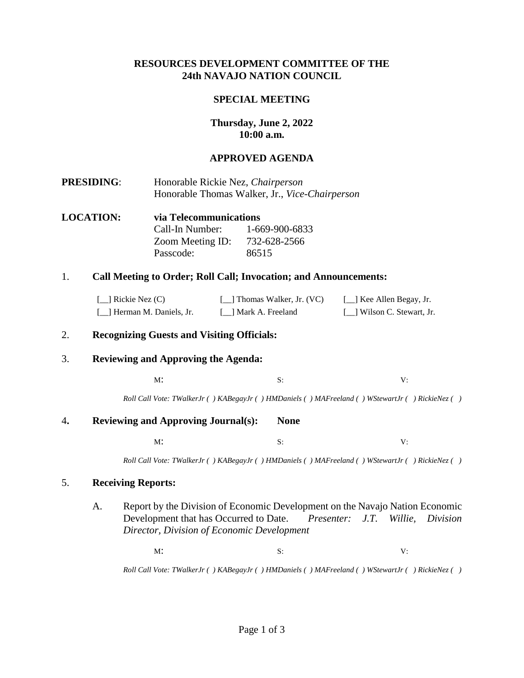## **RESOURCES DEVELOPMENT COMMITTEE OF THE 24th NAVAJO NATION COUNCIL**

## **SPECIAL MEETING**

# **Thursday, June 2, 2022 10:00 a.m.**

# **APPROVED AGENDA**

- **PRESIDING**: Honorable Rickie Nez, *Chairperson* Honorable Thomas Walker, Jr., *Vice-Chairperson*
- **LOCATION: via Telecommunications**  Call-In Number: 1-669-900-6833 Zoom Meeting ID: 732-628-2566 Passcode: 86515

### 1. **Call Meeting to Order; Roll Call; Invocation; and Announcements:**

| $\lceil$ Rickie Nez (C)     | [14] Thomas Walker, Jr. (VC) | [_] Kee Allen Begay, Jr.    |
|-----------------------------|------------------------------|-----------------------------|
| [14] Herman M. Daniels, Jr. | [ 1 Mark A. Freeland         | [11] Wilson C. Stewart, Jr. |

### 2. **Recognizing Guests and Visiting Officials:**

### 3. **Reviewing and Approving the Agenda:**

 $M$ : S: V:

*Roll Call Vote: TWalkerJr ( ) KABegayJr ( ) HMDaniels ( ) MAFreeland ( ) WStewartJr ( ) RickieNez ( )*

#### 4**. Reviewing and Approving Journal(s): None**

 $M$ : S: V:

*Roll Call Vote: TWalkerJr ( ) KABegayJr ( ) HMDaniels ( ) MAFreeland ( ) WStewartJr ( ) RickieNez ( )*

### 5. **Receiving Reports:**

A. Report by the Division of Economic Development on the Navajo Nation Economic Development that has Occurred to Date. *Presenter: J.T. Willie, Division Director, Division of Economic Development*

 $M$ : S: V:

*Roll Call Vote: TWalkerJr ( ) KABegayJr ( ) HMDaniels ( ) MAFreeland ( ) WStewartJr ( ) RickieNez ( )*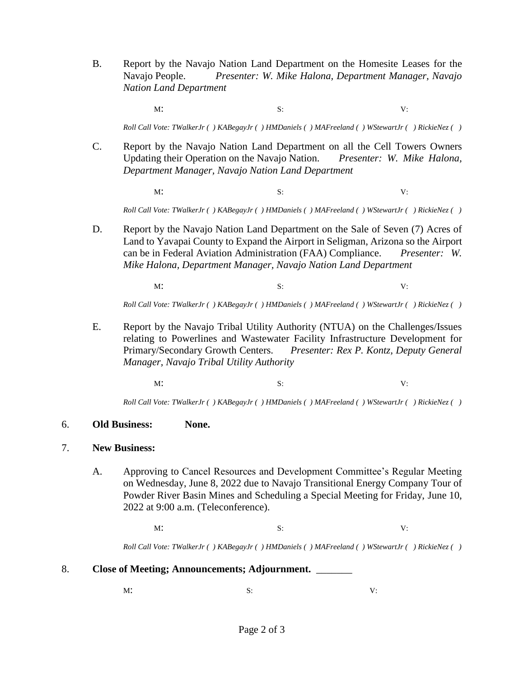B. Report by the Navajo Nation Land Department on the Homesite Leases for the Navajo People. *Presenter: W. Mike Halona, Department Manager, Navajo Nation Land Department*

 $M$ : S: V:

*Roll Call Vote: TWalkerJr ( ) KABegayJr ( ) HMDaniels ( ) MAFreeland ( ) WStewartJr ( ) RickieNez ( )*

- C. Report by the Navajo Nation Land Department on all the Cell Towers Owners Updating their Operation on the Navajo Nation. *Presenter: W. Mike Halona, Department Manager, Navajo Nation Land Department*
	- $M$ : S: V:

*Roll Call Vote: TWalkerJr ( ) KABegayJr ( ) HMDaniels ( ) MAFreeland ( ) WStewartJr ( ) RickieNez ( )*

D. Report by the Navajo Nation Land Department on the Sale of Seven (7) Acres of Land to Yavapai County to Expand the Airport in Seligman, Arizona so the Airport can be in Federal Aviation Administration (FAA) Compliance. *Presenter: W. Mike Halona, Department Manager, Navajo Nation Land Department*

 $M$ : S: V:

*Roll Call Vote: TWalkerJr ( ) KABegayJr ( ) HMDaniels ( ) MAFreeland ( ) WStewartJr ( ) RickieNez ( )*

E. Report by the Navajo Tribal Utility Authority (NTUA) on the Challenges/Issues relating to Powerlines and Wastewater Facility Infrastructure Development for Primary/Secondary Growth Centers. *Presenter: Rex P. Kontz, Deputy General Manager, Navajo Tribal Utility Authority* 

 $M$ : S: V:

*Roll Call Vote: TWalkerJr ( ) KABegayJr ( ) HMDaniels ( ) MAFreeland ( ) WStewartJr ( ) RickieNez ( )*

#### 6. **Old Business: None.**

### 7. **New Business:**

A. Approving to Cancel Resources and Development Committee's Regular Meeting on Wednesday, June 8, 2022 due to Navajo Transitional Energy Company Tour of Powder River Basin Mines and Scheduling a Special Meeting for Friday, June 10, 2022 at 9:00 a.m. (Teleconference).

 $M$ : S: V:

*Roll Call Vote: TWalkerJr ( ) KABegayJr ( ) HMDaniels ( ) MAFreeland ( ) WStewartJr ( ) RickieNez ( )*

### 8. **Close of Meeting; Announcements; Adjournment.** \_\_\_\_\_\_\_

 $M$ : S: V: